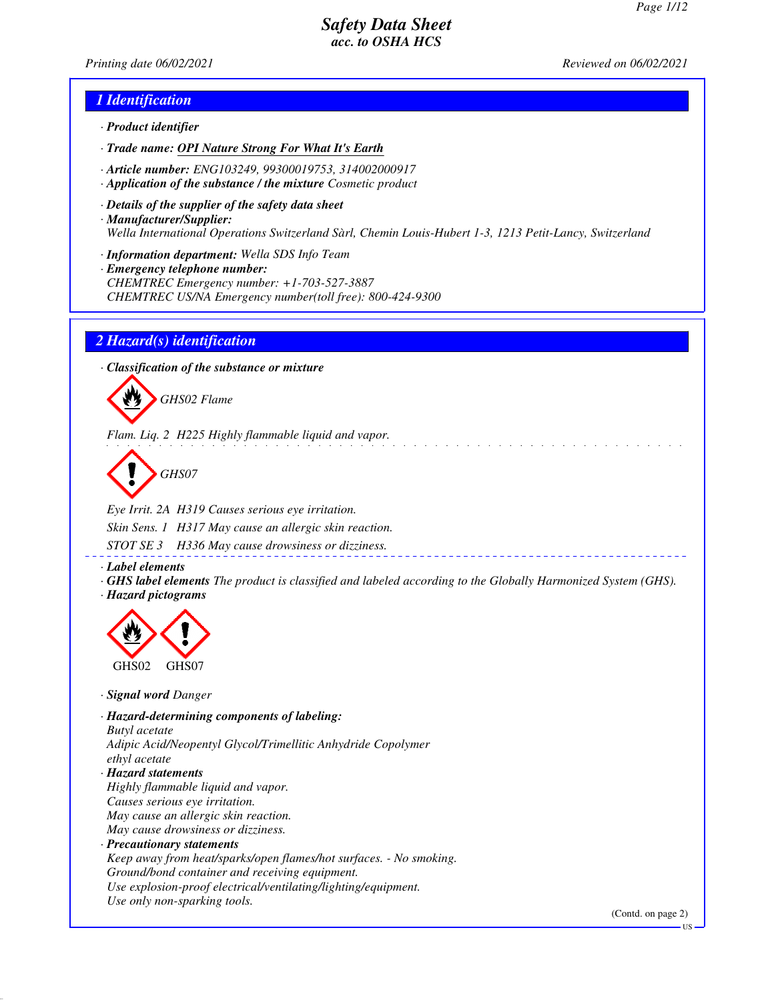*Printing date 06/02/2021 Reviewed on 06/02/2021*

### *1 Identification*

- *· Product identifier*
- *· Trade name: OPI Nature Strong For What It's Earth*
- *· Article number: ENG103249, 99300019753, 314002000917*
- *· Application of the substance / the mixture Cosmetic product*
- *· Details of the supplier of the safety data sheet · Manufacturer/Supplier: Wella International Operations Switzerland Sàrl, Chemin Louis-Hubert 1-3, 1213 Petit-Lancy, Switzerland*
- *· Information department: Wella SDS Info Team*
- *· Emergency telephone number: CHEMTREC Emergency number: +1-703-527-3887 CHEMTREC US/NA Emergency number(toll free): 800-424-9300*

#### *2 Hazard(s) identification*

*· Classification of the substance or mixture*



*Flam. Liq. 2 H225 Highly flammable liquid and vapor.*

*GHS07*

*Eye Irrit. 2A H319 Causes serious eye irritation. Skin Sens. 1 H317 May cause an allergic skin reaction. STOT SE 3 H336 May cause drowsiness or dizziness.*

*· Label elements*

*· GHS label elements The product is classified and labeled according to the Globally Harmonized System (GHS). · Hazard pictograms*



*· Signal word Danger*

*· Hazard-determining components of labeling: Butyl acetate Adipic Acid/Neopentyl Glycol/Trimellitic Anhydride Copolymer ethyl acetate · Hazard statements Highly flammable liquid and vapor. Causes serious eye irritation. May cause an allergic skin reaction. May cause drowsiness or dizziness. · Precautionary statements Keep away from heat/sparks/open flames/hot surfaces. - No smoking. Ground/bond container and receiving equipment. Use explosion-proof electrical/ventilating/lighting/equipment. Use only non-sparking tools.*

(Contd. on page 2)

US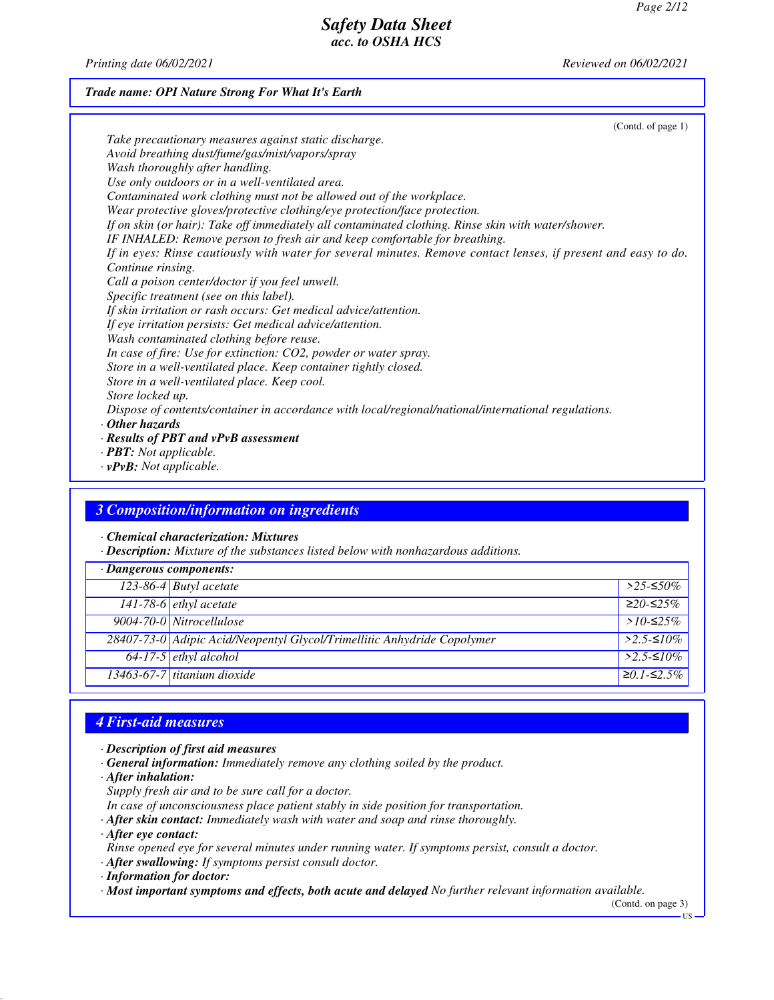*Printing date 06/02/2021 Reviewed on 06/02/2021*

### *Trade name: OPI Nature Strong For What It's Earth*

| (Contd. of page 1)                                                                                             |  |
|----------------------------------------------------------------------------------------------------------------|--|
| Take precautionary measures against static discharge.                                                          |  |
| Avoid breathing dust/fume/gas/mist/vapors/spray                                                                |  |
| Wash thoroughly after handling.                                                                                |  |
| Use only outdoors or in a well-ventilated area.                                                                |  |
| Contaminated work clothing must not be allowed out of the workplace.                                           |  |
| Wear protective gloves/protective clothing/eye protection/face protection.                                     |  |
| If on skin (or hair): Take off immediately all contaminated clothing. Rinse skin with water/shower.            |  |
| IF INHALED: Remove person to fresh air and keep comfortable for breathing.                                     |  |
| If in eyes: Rinse cautiously with water for several minutes. Remove contact lenses, if present and easy to do. |  |
| Continue rinsing.                                                                                              |  |
| Call a poison center/doctor if you feel unwell.                                                                |  |
| Specific treatment (see on this label).                                                                        |  |
| If skin irritation or rash occurs: Get medical advice/attention.                                               |  |
| If eye irritation persists: Get medical advice/attention.                                                      |  |
| Wash contaminated clothing before reuse.                                                                       |  |
| In case of fire: Use for extinction: CO2, powder or water spray.                                               |  |
| Store in a well-ventilated place. Keep container tightly closed.                                               |  |
| Store in a well-ventilated place. Keep cool.                                                                   |  |
| Store locked up.                                                                                               |  |
| Dispose of contents/container in accordance with local/regional/national/international regulations.            |  |
| $\cdot$ Other hazards                                                                                          |  |
| $\cdot$ Results of PBT and vPvB assessment                                                                     |  |
|                                                                                                                |  |
| $\cdot$ <b>PBT:</b> Not applicable.                                                                            |  |

*· vPvB: Not applicable.*

### *3 Composition/information on ingredients*

*· Chemical characterization: Mixtures*

*· Description: Mixture of the substances listed below with nonhazardous additions.*

| $\cdot$ Dangerous components: |                                                                         |              |
|-------------------------------|-------------------------------------------------------------------------|--------------|
|                               | 123-86-4 Butyl acetate                                                  | $>$ 25-≤50%  |
|                               | 141-78-6 <i>ethyl</i> acetate                                           | $≥20-≤25%$   |
|                               | 9004-70-0 Nitrocellulose                                                | $>10-52.5\%$ |
|                               | 28407-73-0 Adipic Acid/Neopentyl Glycol/Trimellitic Anhydride Copolymer | $>2.5$ -≤10% |
|                               | $64-17-5$ ethyl alcohol                                                 | $>2.5-10\%$  |
|                               | $13463-67-7$ titanium dioxide                                           | $≥0.1-S2.5%$ |

# *4 First-aid measures*

- *· Description of first aid measures*
- *· General information: Immediately remove any clothing soiled by the product.*
- *· After inhalation:*
- *Supply fresh air and to be sure call for a doctor.*
- *In case of unconsciousness place patient stably in side position for transportation.*
- *· After skin contact: Immediately wash with water and soap and rinse thoroughly.*
- *· After eye contact:*
- *Rinse opened eye for several minutes under running water. If symptoms persist, consult a doctor.*
- *· After swallowing: If symptoms persist consult doctor.*
- *· Information for doctor:*
- *· Most important symptoms and effects, both acute and delayed No further relevant information available.*

(Contd. on page 3)

US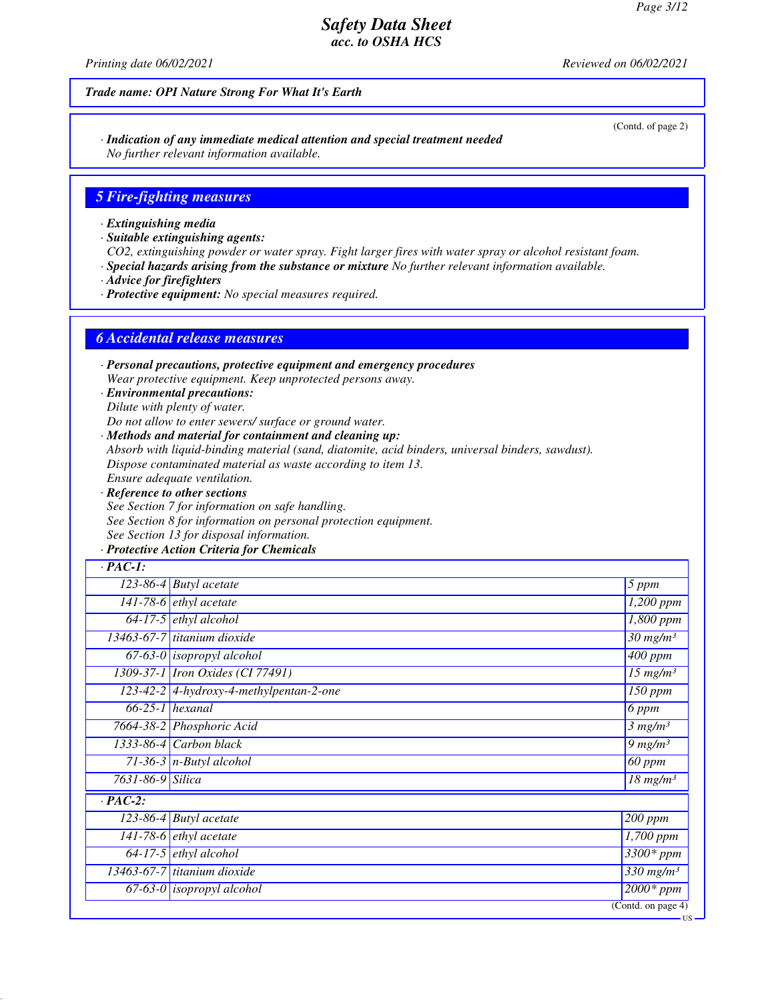(Contd. of page 2)

# *Safety Data Sheet acc. to OSHA HCS*

*Printing date 06/02/2021 Reviewed on 06/02/2021*

### *Trade name: OPI Nature Strong For What It's Earth*

*· Indication of any immediate medical attention and special treatment needed No further relevant information available.*

#### *5 Fire-fighting measures*

*· Extinguishing media*

*· Suitable extinguishing agents:*

*CO2, extinguishing powder or water spray. Fight larger fires with water spray or alcohol resistant foam.*

*· Special hazards arising from the substance or mixture No further relevant information available.*

*· Advice for firefighters*

*· Protective equipment: No special measures required.*

#### *6 Accidental release measures*

*· Personal precautions, protective equipment and emergency procedures Wear protective equipment. Keep unprotected persons away.*

*· Environmental precautions: Dilute with plenty of water.*

*Do not allow to enter sewers/ surface or ground water.*

*· Methods and material for containment and cleaning up:*

*Absorb with liquid-binding material (sand, diatomite, acid binders, universal binders, sawdust).*

*Dispose contaminated material as waste according to item 13.*

*Ensure adequate ventilation.*

*· Reference to other sections See Section 7 for information on safe handling. See Section 8 for information on personal protection equipment. See Section 13 for disposal information.*

### *· Protective Action Criteria for Chemicals*

| $\cdot$ PAC-1:   |                                           |                                    |
|------------------|-------------------------------------------|------------------------------------|
|                  | $\overline{123-86-4}$ Butyl acetate       | 5 ppm                              |
|                  | 141-78-6 $ethyl$ acetate                  | $1,200$ ppm                        |
|                  | $64-17-5$ ethyl alcohol                   | $\overline{1,}800$ ppm             |
|                  | 13463-67-7 titanium dioxide               | $\overline{30}$ mg/m <sup>3</sup>  |
|                  | $67-63-0$ isopropyl alcohol               | $\overline{400}$ ppm               |
|                  | 1309-37-1 <i>Iron Oxides</i> (CI 77491)   | $15$ mg/m <sup>3</sup>             |
|                  | $123-42-2$ 4-hydroxy-4-methylpentan-2-one | $\overline{150}$ ppm               |
|                  | $66-25-1$ hexanal                         | 6 ppm                              |
|                  | 7664-38-2 Phosphoric Acid                 | 3 mg/m <sup>3</sup>                |
|                  | 1333-86-4 Carbon black                    | $9 \ mg/m3$                        |
|                  | $71-36-3$ n-Butyl alcohol                 | 60 ppm                             |
| 7631-86-9 Silica |                                           | $18$ mg/m <sup>3</sup>             |
| $\cdot$ PAC-2:   |                                           |                                    |
|                  | $123-86-4$ Butyl acetate                  | $200$ ppm                          |
|                  | 141-78-6 $ethyl$ acetate                  | 1,700 ppm                          |
|                  | $64-17-5$ ethyl alcohol                   | $3300*ppm$                         |
|                  | $13463-67-7$ titanium dioxide             | $\overline{330}$ mg/m <sup>3</sup> |
|                  | $67-63-0$ isopropyl alcohol               | $2000*ppm$                         |
|                  |                                           | (Cond. on page 4)                  |

US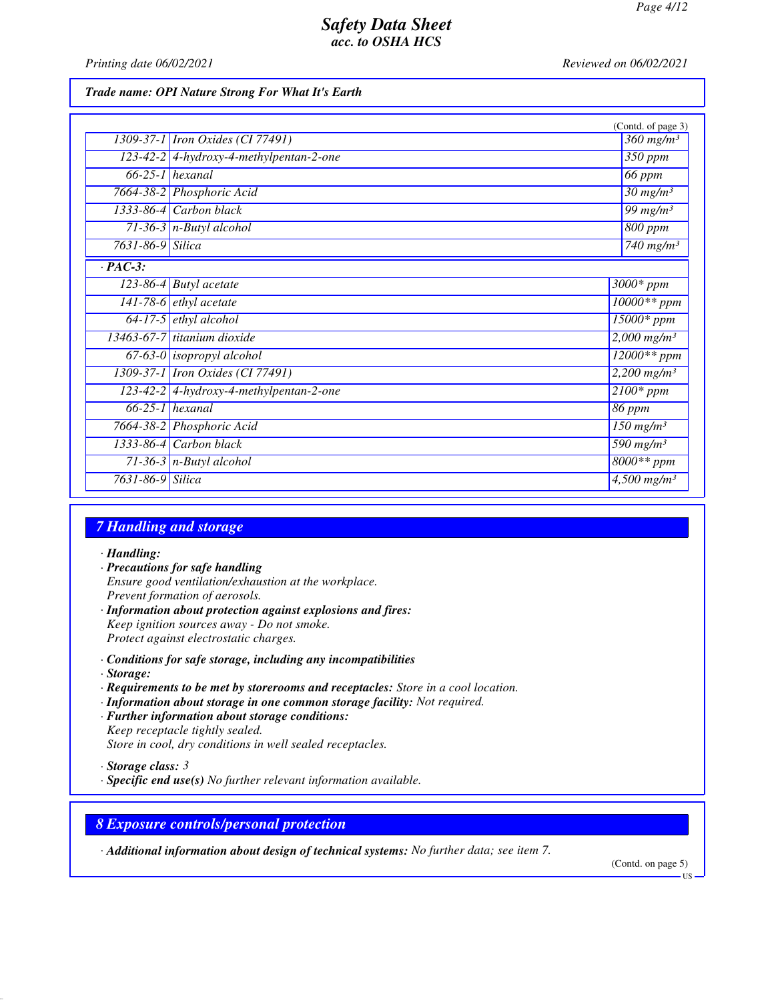*Printing date 06/02/2021 Reviewed on 06/02/2021*

#### *Trade name: OPI Nature Strong For What It's Earth*

|                  |                                           | (Contd. of page 3)                 |
|------------------|-------------------------------------------|------------------------------------|
|                  | 1309-37-1 <i>Iron Oxides</i> (CI 77491)   | $\frac{360}{m}$ mg/m <sup>3</sup>  |
|                  | 123-42-2 4-hydroxy-4-methylpentan-2-one   | 350 ppm                            |
|                  | $66-25-1$ hexanal                         | $66$ ppm                           |
|                  | 7664-38-2 Phosphoric Acid                 | $30 \ mg/m^3$                      |
|                  | $1333-86-4$ Carbon black                  | $\frac{99}{mg/m^3}$                |
|                  | $71-36-3$ n-Butyl alcohol                 | 800 ppm                            |
| 7631-86-9 Silica |                                           | $740$ mg/m <sup>3</sup>            |
| $\cdot$ PAC-3:   |                                           |                                    |
|                  | $\overline{123}$ -86-4 Butyl acetate      | $3000*$ ppm                        |
|                  | $141-78-6$ ethyl acetate                  | $10000**$ ppm                      |
|                  | $64-17-5$ ethyl alcohol                   | $15000*$ ppm                       |
|                  | 13463-67-7 titanium dioxide               | $2,000$ mg/m <sup>3</sup>          |
|                  | $67-63-0$ isopropyl alcohol               | $12000**$ ppm                      |
|                  | 1309-37-1 Iron Oxides (CI 77491)          | $2,200$ mg/m <sup>3</sup>          |
|                  | $123-42-2$ 4-hydroxy-4-methylpentan-2-one | $2100*$ ppm                        |
|                  | $66-25-1$ hexanal                         | 86 ppm                             |
|                  | 7664-38-2 Phosphoric Acid                 | $\overline{150}$ mg/m <sup>3</sup> |
|                  | $1333-86-4$ Carbon black                  | $\overline{590}$ mg/m <sup>3</sup> |
|                  | 71-36-3 $n$ -Butyl alcohol                | 8000** ppm                         |
| 7631-86-9 Silica |                                           | $\frac{4,500 \text{ mg}}{m^3}$     |

# *7 Handling and storage*

#### *· Handling:*

- *· Precautions for safe handling Ensure good ventilation/exhaustion at the workplace. Prevent formation of aerosols. · Information about protection against explosions and fires:*
- *Keep ignition sources away Do not smoke. Protect against electrostatic charges.*
- *· Conditions for safe storage, including any incompatibilities*
- *· Storage:*
- *· Requirements to be met by storerooms and receptacles: Store in a cool location.*
- *· Information about storage in one common storage facility: Not required.*
- *· Further information about storage conditions: Keep receptacle tightly sealed. Store in cool, dry conditions in well sealed receptacles.*
- *· Storage class: 3*
- *· Specific end use(s) No further relevant information available.*

#### *8 Exposure controls/personal protection*

*· Additional information about design of technical systems: No further data; see item 7.*

(Contd. on page 5)

US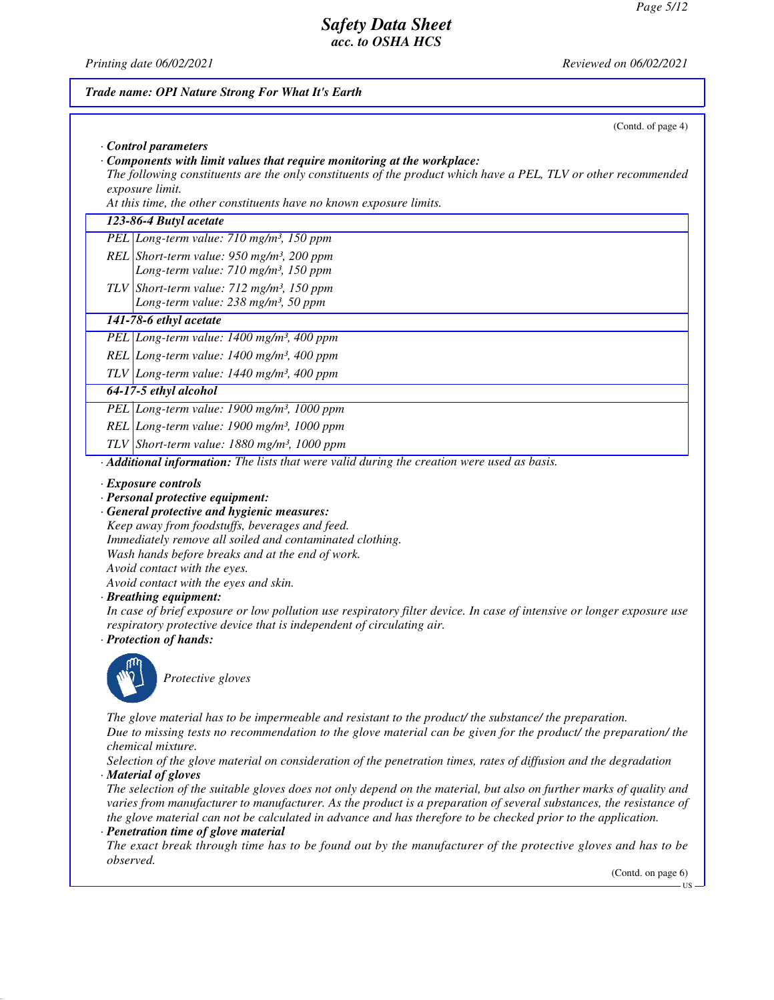*Printing date 06/02/2021 Reviewed on 06/02/2021*

# *Trade name: OPI Nature Strong For What It's Earth* (Contd. of page 4) *· Control parameters · Components with limit values that require monitoring at the workplace: The following constituents are the only constituents of the product which have a PEL, TLV or other recommended exposure limit. At this time, the other constituents have no known exposure limits. 123-86-4 Butyl acetate PEL Long-term value: 710 mg/m³, 150 ppm REL Short-term value: 950 mg/m³, 200 ppm Long-term value: 710 mg/m³, 150 ppm TLV Short-term value: 712 mg/m³, 150 ppm Long-term value: 238 mg/m³, 50 ppm 141-78-6 ethyl acetate PEL Long-term value: 1400 mg/m³, 400 ppm REL Long-term value: 1400 mg/m³, 400 ppm TLV Long-term value: 1440 mg/m³, 400 ppm 64-17-5 ethyl alcohol PEL Long-term value: 1900 mg/m³, 1000 ppm REL Long-term value: 1900 mg/m³, 1000 ppm TLV Short-term value: 1880 mg/m³, 1000 ppm · Additional information: The lists that were valid during the creation were used as basis. · Exposure controls · Personal protective equipment: · General protective and hygienic measures: Keep away from foodstuffs, beverages and feed. Immediately remove all soiled and contaminated clothing. Wash hands before breaks and at the end of work. Avoid contact with the eyes. Avoid contact with the eyes and skin. · Breathing equipment: In case of brief exposure or low pollution use respiratory filter device. In case of intensive or longer exposure use respiratory protective device that is independent of circulating air. · Protection of hands: Protective gloves The glove material has to be impermeable and resistant to the product/ the substance/ the preparation. Due to missing tests no recommendation to the glove material can be given for the product/ the preparation/ the chemical mixture. Selection of the glove material on consideration of the penetration times, rates of diffusion and the degradation · Material of gloves The selection of the suitable gloves does not only depend on the material, but also on further marks of quality and varies from manufacturer to manufacturer. As the product is a preparation of several substances, the resistance of the glove material can not be calculated in advance and has therefore to be checked prior to the application. · Penetration time of glove material The exact break through time has to be found out by the manufacturer of the protective gloves and has to be observed.* (Contd. on page 6) **TIC**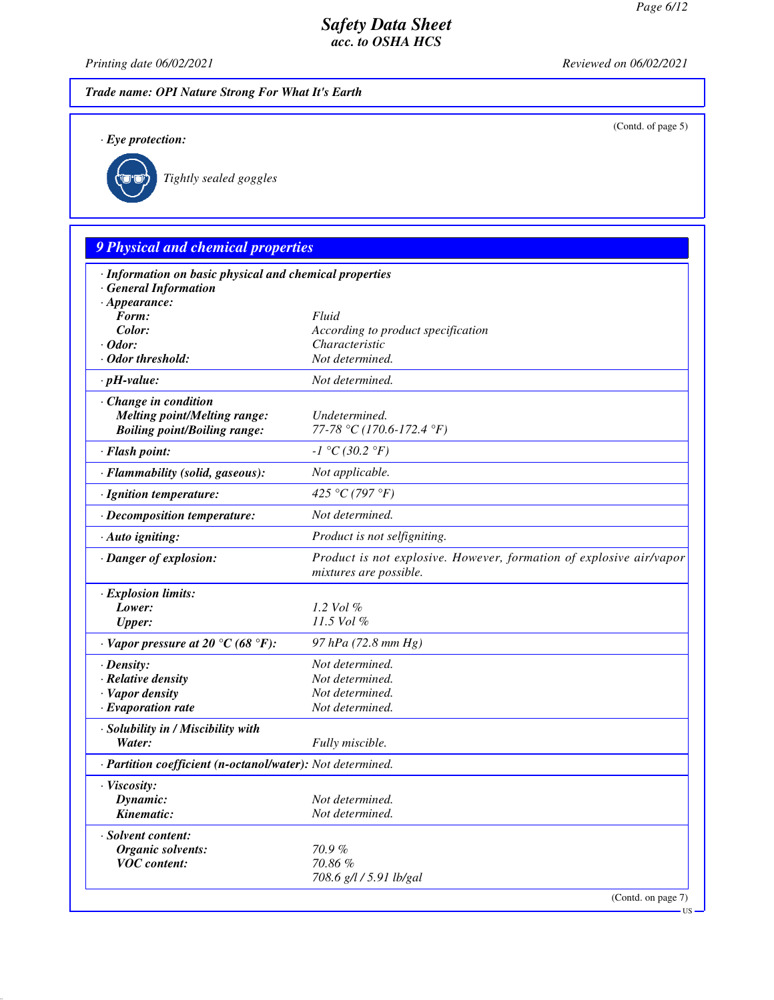(Contd. of page 5)

US

### *Safety Data Sheet acc. to OSHA HCS*

*Printing date 06/02/2021 Reviewed on 06/02/2021*

*Trade name: OPI Nature Strong For What It's Earth*

*· Eye protection:*



*Tightly sealed goggles*

# *9 Physical and chemical properties · Information on basic physical and chemical properties · General Information · Appearance: Form: Fluid Color: According to product specification · Odor: Characteristic · Odor threshold: Not determined. · pH-value: Not determined. · Change in condition Melting point/Melting range: Undetermined. Boiling point/Boiling range: 77-78 °C (170.6-172.4 °F) · Flash point: -1 °C (30.2 °F) · Flammability (solid, gaseous): Not applicable. · Ignition temperature: 425 °C (797 °F) · Decomposition temperature: Not determined. · Auto igniting: Product is not selfigniting. · Danger of explosion: Product is not explosive. However, formation of explosive air/vapor mixtures are possible. · Explosion limits: Lower: 1.2 Vol % Upper: 11.5 Vol % · Vapor pressure at 20 °C (68 °F): 97 hPa (72.8 mm Hg) · Density: Not determined. · Relative density Not determined. · Vapor density Not determined. <i>·* Evaporation rate *· Solubility in / Miscibility with Water: Fully miscible. · Partition coefficient (n-octanol/water): Not determined. · Viscosity: Dynamic: Not determined. Kinematic: Not determined. · Solvent content: Organic solvents: 70.9 % VOC content: 70.86 % 708.6 g/l / 5.91 lb/gal* (Contd. on page 7)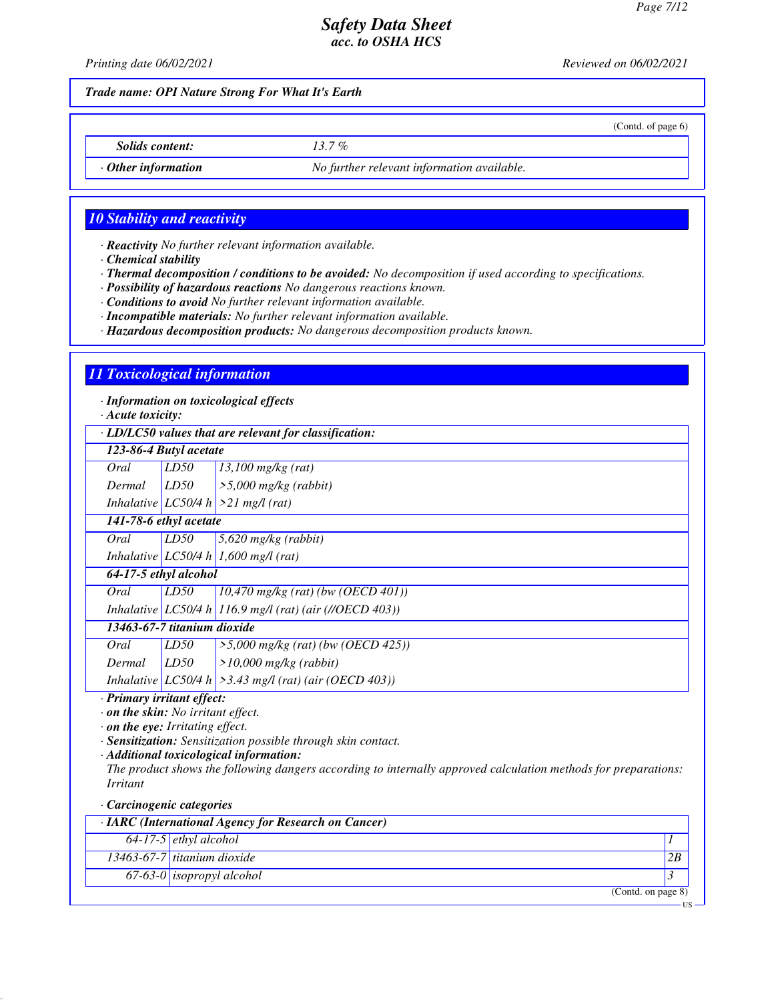(Contd. of page 6)

# *Safety Data Sheet acc. to OSHA HCS*

*Printing date 06/02/2021 Reviewed on 06/02/2021*

*Trade name: OPI Nature Strong For What It's Earth*

*Solids content: 13.7 %*

*· Other information No further relevant information available.*

### *10 Stability and reactivity*

*· Reactivity No further relevant information available.*

*· Chemical stability*

*· Thermal decomposition / conditions to be avoided: No decomposition if used according to specifications.*

*· Possibility of hazardous reactions No dangerous reactions known.*

*· Conditions to avoid No further relevant information available.*

*· Incompatible materials: No further relevant information available.*

*· Hazardous decomposition products: No dangerous decomposition products known.*

#### *11 Toxicological information*

*· Information on toxicological effects*

*· Acute toxicity:*

*· LD/LC50 values that are relevant for classification:*

|        |      | . LD/LC50 raides mat are reterant for classification.                                                                                                                                            |
|--------|------|--------------------------------------------------------------------------------------------------------------------------------------------------------------------------------------------------|
|        |      |                                                                                                                                                                                                  |
| Oral   | LD50 | $13,100$ mg/kg (rat)                                                                                                                                                                             |
| Dermal |      | $\geq 5,000$ mg/kg (rabbit)                                                                                                                                                                      |
|        |      |                                                                                                                                                                                                  |
|        |      |                                                                                                                                                                                                  |
| Oral   | LD50 | $5,620$ mg/kg (rabbit)                                                                                                                                                                           |
|        |      |                                                                                                                                                                                                  |
|        |      |                                                                                                                                                                                                  |
| Oral   | LD50 | $(10,470 \text{ mg/kg} (rat) (bw (OECD 401)))$                                                                                                                                                   |
|        |      | Inhalative LC50/4 h 116.9 mg/l (rat) (air (//OECD 403))                                                                                                                                          |
|        |      |                                                                                                                                                                                                  |
| Oral   | LD50 | $>5,000$ mg/kg (rat) (bw (OECD 425))                                                                                                                                                             |
| Dermal | LD50 | $>10,000$ mg/kg (rabbit)                                                                                                                                                                         |
|        |      | Inhalative LC50/4 h $\geq$ 3.43 mg/l (rat) (air (OECD 403))                                                                                                                                      |
|        |      | 123-86-4 Butyl acetate<br>LD50<br>Inhalative LC50/4 h $>21$ mg/l (rat)<br>141-78-6 ethyl acetate<br>Inhalative LC50/4 h 1,600 mg/l (rat)<br>64-17-5 ethyl alcohol<br>13463-67-7 titanium dioxide |

*· Primary irritant effect:*

*· on the skin: No irritant effect.*

*· on the eye: Irritating effect.*

*· Sensitization: Sensitization possible through skin contact.*

*· Additional toxicological information:*

*The product shows the following dangers according to internally approved calculation methods for preparations: Irritant*

*· Carcinogenic categories*

| $\cdot$ IARC (International Agency for Research on Cancer) |                                  |    |  |
|------------------------------------------------------------|----------------------------------|----|--|
|                                                            | $64-17-5$ ethyl alcohol          |    |  |
|                                                            | 13463-67-7 titanium dioxide      | 2B |  |
|                                                            | 67-63-0 <i>isopropyl</i> alcohol |    |  |
|                                                            | (Contd. on page 8)               |    |  |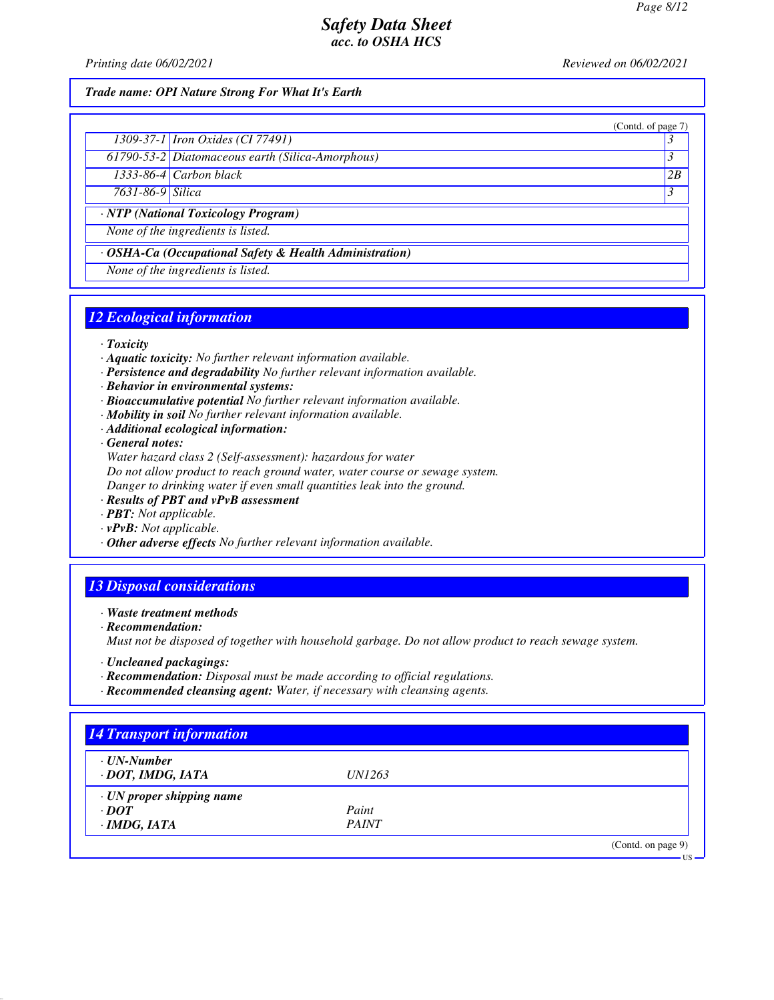(Contd. of page 7)

# *Safety Data Sheet acc. to OSHA HCS*

*Printing date 06/02/2021 Reviewed on 06/02/2021*

#### *Trade name: OPI Nature Strong For What It's Earth*

| 1309-37-1 <i>Iron Oxides</i> (CI 77491) |  |
|-----------------------------------------|--|
|                                         |  |

*61790-53-2 Diatomaceous earth (Silica-Amorphous) 3 1333-86-4 Carbon black 2B*

*7631-86-9 Silica 3* 

*· NTP (National Toxicology Program)*

*None of the ingredients is listed.*

*· OSHA-Ca (Occupational Safety & Health Administration)*

*None of the ingredients is listed.*

## *12 Ecological information*

*· Toxicity*

- *· Aquatic toxicity: No further relevant information available.*
- *· Persistence and degradability No further relevant information available.*
- *· Behavior in environmental systems:*
- *· Bioaccumulative potential No further relevant information available.*
- *· Mobility in soil No further relevant information available.*
- *· Additional ecological information:*

*· General notes:*

*Water hazard class 2 (Self-assessment): hazardous for water Do not allow product to reach ground water, water course or sewage system. Danger to drinking water if even small quantities leak into the ground.*

- *· Results of PBT and vPvB assessment*
- *· PBT: Not applicable.*
- *· vPvB: Not applicable.*
- *· Other adverse effects No further relevant information available.*

### *13 Disposal considerations*

*· Waste treatment methods*

*· Recommendation:*

*Must not be disposed of together with household garbage. Do not allow product to reach sewage system.*

- *· Uncleaned packagings:*
- *· Recommendation: Disposal must be made according to official regulations.*
- *· Recommended cleansing agent: Water, if necessary with cleansing agents.*

| $\cdot$ UN-Number               |               |  |
|---------------------------------|---------------|--|
| · DOT, IMDG, IATA               | <i>UN1263</i> |  |
| $\cdot$ UN proper shipping name |               |  |
| $\cdot$ DOT                     | Paint         |  |
| $\cdot$ IMDG, IATA              | <b>PAINT</b>  |  |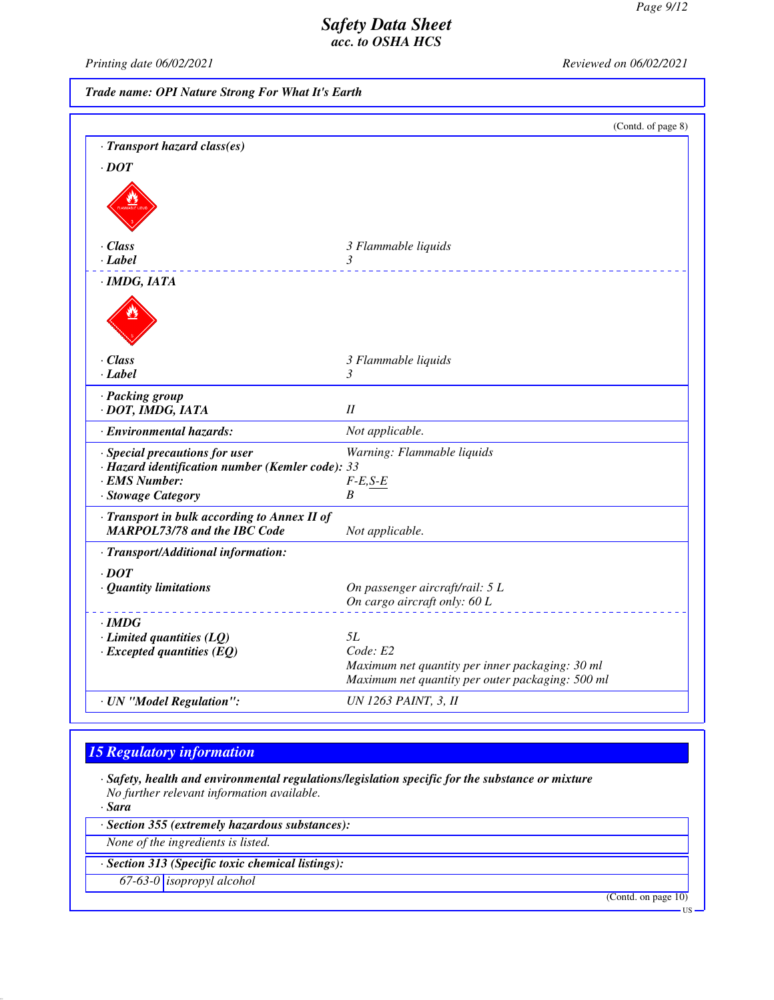*Printing date 06/02/2021 Reviewed on 06/02/2021*

*Trade name: OPI Nature Strong For What It's Earth*

|                                                                                                                           | (Contd. of page 8)                                                                                              |
|---------------------------------------------------------------------------------------------------------------------------|-----------------------------------------------------------------------------------------------------------------|
| · Transport hazard class(es)                                                                                              |                                                                                                                 |
| $\cdot$ <i>DOT</i>                                                                                                        |                                                                                                                 |
|                                                                                                                           |                                                                                                                 |
| $\cdot$ Class                                                                                                             | 3 Flammable liquids                                                                                             |
| $\cdot$ Label                                                                                                             | 3                                                                                                               |
| $\cdot$ IMDG, IATA                                                                                                        |                                                                                                                 |
|                                                                                                                           |                                                                                                                 |
| $\cdot$ Class                                                                                                             | 3 Flammable liquids                                                                                             |
| $\cdot$ Label                                                                                                             | 3                                                                                                               |
| · Packing group<br>· DOT, IMDG, IATA                                                                                      | II                                                                                                              |
| · Environmental hazards:                                                                                                  | Not applicable.                                                                                                 |
| · Special precautions for user<br>· Hazard identification number (Kemler code): 33<br>· EMS Number:<br>· Stowage Category | Warning: Flammable liquids<br>$F-E,S-E$<br>B                                                                    |
| · Transport in bulk according to Annex II of<br><b>MARPOL73/78 and the IBC Code</b>                                       | Not applicable.                                                                                                 |
| · Transport/Additional information:                                                                                       |                                                                                                                 |
| $\cdot$ DOT<br>· Quantity limitations                                                                                     | On passenger aircraft/rail: 5 L                                                                                 |
|                                                                                                                           | On cargo aircraft only: 60 L                                                                                    |
| $\cdot$ IMDG                                                                                                              |                                                                                                                 |
| $\cdot$ Limited quantities (LQ)                                                                                           | <i>5L</i>                                                                                                       |
| $\cdot$ Excepted quantities (EQ)                                                                                          | Code: E2<br>Maximum net quantity per inner packaging: 30 ml<br>Maximum net quantity per outer packaging: 500 ml |
| · UN "Model Regulation":                                                                                                  | <b>UN 1263 PAINT, 3, II</b>                                                                                     |

# *15 Regulatory information*

*· Safety, health and environmental regulations/legislation specific for the substance or mixture No further relevant information available.*

*· Sara*

*· Section 355 (extremely hazardous substances):*

*None of the ingredients is listed.*

*· Section 313 (Specific toxic chemical listings):*

*67-63-0 isopropyl alcohol*

(Contd. on page 10)

US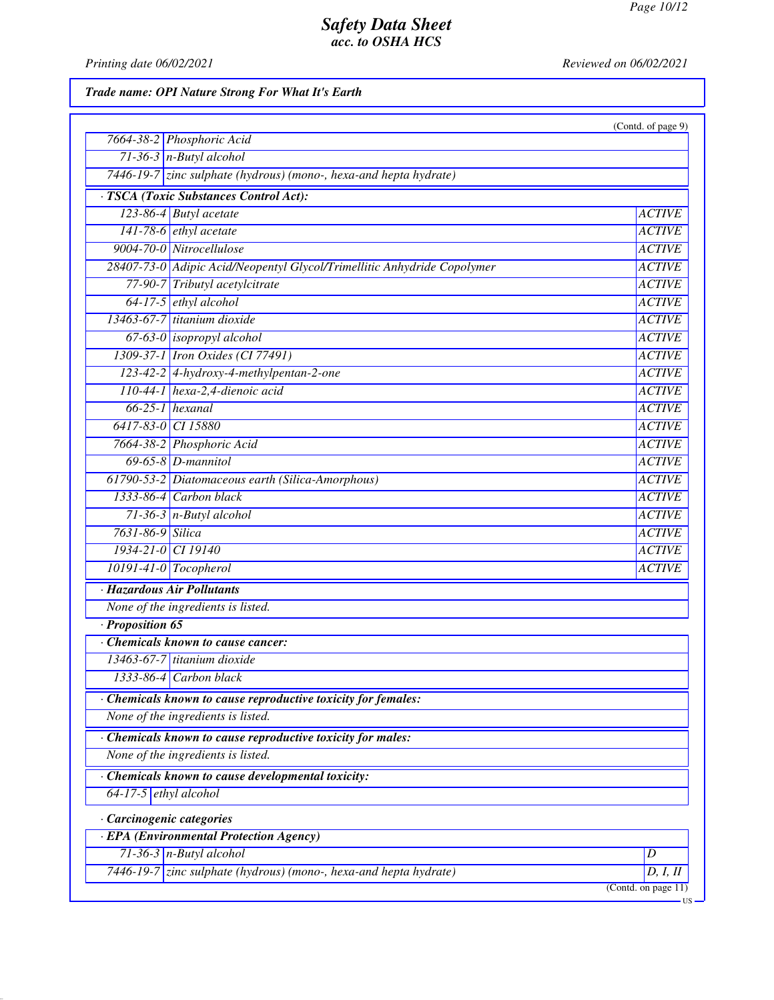*Printing date 06/02/2021 Reviewed on 06/02/2021*

*Trade name: OPI Nature Strong For What It's Earth*

|                                                                         | (Contd. of page 9)             |
|-------------------------------------------------------------------------|--------------------------------|
| 7664-38-2 Phosphoric Acid                                               |                                |
| $71-36-3$ n-Butyl alcohol                                               |                                |
| 7446-19-7 zinc sulphate (hydrous) (mono-, hexa-and hepta hydrate)       |                                |
| · TSCA (Toxic Substances Control Act):                                  |                                |
| 123-86-4 Butyl acetate                                                  | <b>ACTIVE</b>                  |
| $141-78-6$ ethyl acetate                                                | <b>ACTIVE</b>                  |
| 9004-70-0 Nitrocellulose                                                | <b>ACTIVE</b>                  |
| 28407-73-0 Adipic Acid/Neopentyl Glycol/Trimellitic Anhydride Copolymer | <b>ACTIVE</b>                  |
| 77-90-7 Tributyl acetylcitrate                                          | <b>ACTIVE</b>                  |
| 64-17-5 ethyl alcohol                                                   | <b>ACTIVE</b>                  |
| 13463-67-7 titanium dioxide                                             | <b>ACTIVE</b>                  |
| $67-63-0$ isopropyl alcohol                                             | <b>ACTIVE</b>                  |
| 1309-37-1 Iron Oxides (CI 77491)                                        | <b>ACTIVE</b>                  |
| 123-42-2 4-hydroxy-4-methylpentan-2-one                                 | <b>ACTIVE</b>                  |
| 110-44-1 hexa-2,4-dienoic acid                                          | <b>ACTIVE</b>                  |
| $66-25-1$ hexanal                                                       | <b>ACTIVE</b>                  |
| 6417-83-0 CI 15880                                                      | <b>ACTIVE</b>                  |
| 7664-38-2 Phosphoric Acid                                               | <b>ACTIVE</b>                  |
| $69-65-8$ <i>D</i> -mannitol                                            | <b>ACTIVE</b>                  |
| 61790-53-2 Diatomaceous earth (Silica-Amorphous)                        | <b>ACTIVE</b>                  |
| 1333-86-4 Carbon black                                                  | <b>ACTIVE</b>                  |
| $71-36-3$ n-Butyl alcohol                                               | <b>ACTIVE</b>                  |
| 7631-86-9 Silica                                                        | <b>ACTIVE</b>                  |
| 1934-21-0 CI 19140                                                      | <b>ACTIVE</b>                  |
| 10191-41-0 Tocopherol                                                   | <b>ACTIVE</b>                  |
| · Hazardous Air Pollutants                                              |                                |
| None of the ingredients is listed.                                      |                                |
| · Proposition 65                                                        |                                |
| Chemicals known to cause cancer:                                        |                                |
| 13463-67-7 titanium dioxide                                             |                                |
| 1333-86-4 Carbon black                                                  |                                |
| · Chemicals known to cause reproductive toxicity for females:           |                                |
| None of the ingredients is listed.                                      |                                |
| $\cdot$ Chemicals known to cause reproductive toxicity for males:       |                                |
| None of the ingredients is listed.                                      |                                |
| Chemicals known to cause developmental toxicity:                        |                                |
| 64-17-5 $ethyl$ alcohol                                                 |                                |
|                                                                         |                                |
| Carcinogenic categories                                                 |                                |
| · EPA (Environmental Protection Agency)                                 |                                |
| $71-36-3$ n-Butyl alcohol                                               | D                              |
| 7446-19-7 zinc sulphate (hydrous) (mono-, hexa-and hepta hydrate)       | D, I, Il<br>(Cond. on page 11) |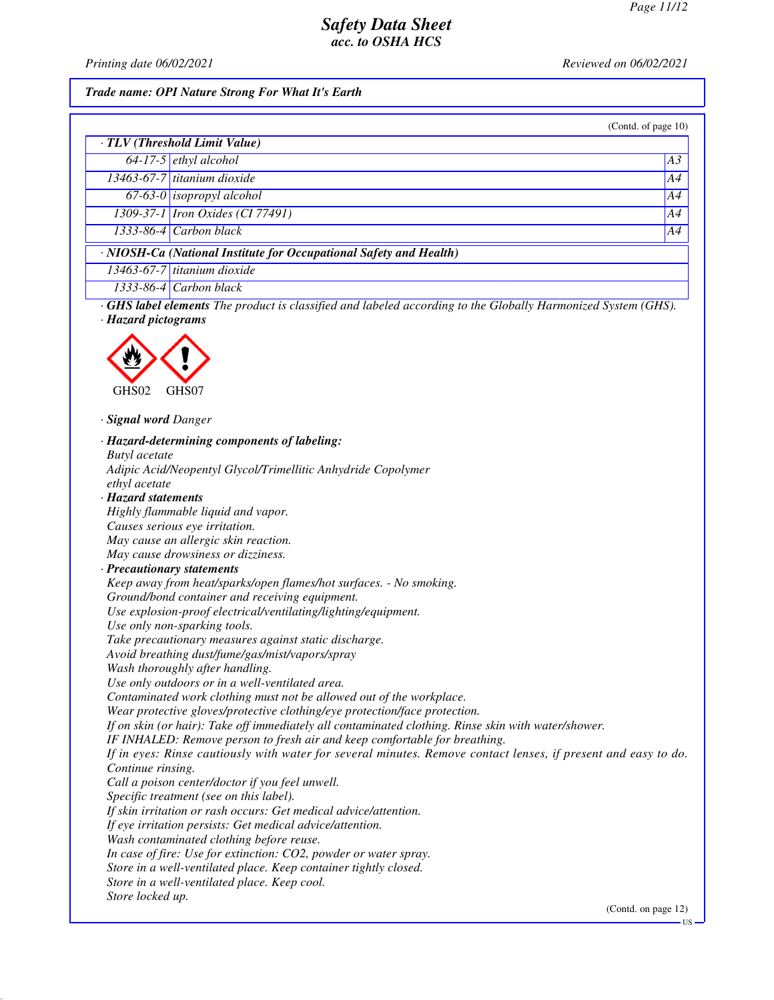*Printing date 06/02/2021 Reviewed on 06/02/2021*

#### *Trade name: OPI Nature Strong For What It's Earth*

(Contd. of page 10)

US

| · TLV (Threshold Limit Value)                                      |                                         |    |  |  |
|--------------------------------------------------------------------|-----------------------------------------|----|--|--|
|                                                                    | $64-17-5$ ethyl alcohol                 | A3 |  |  |
|                                                                    | 13463-67-7 titanium dioxide             | A4 |  |  |
|                                                                    | $67-63-0$ isopropyl alcohol             | A4 |  |  |
|                                                                    | 1309-37-1 <i>Iron Oxides</i> (CI 77491) | A4 |  |  |
|                                                                    | $1333-86-4$ Carbon black                | AA |  |  |
| · NIOSH-Ca (National Institute for Occupational Safety and Health) |                                         |    |  |  |
|                                                                    | 13463-67-7 titanium dioxide             |    |  |  |
|                                                                    | $1333-86-4$ Carbon black                |    |  |  |

*· GHS label elements The product is classified and labeled according to the Globally Harmonized System (GHS). · Hazard pictograms*



*· Signal word Danger*

*· Hazard-determining components of labeling: Butyl acetate Adipic Acid/Neopentyl Glycol/Trimellitic Anhydride Copolymer ethyl acetate · Hazard statements Highly flammable liquid and vapor. Causes serious eye irritation. May cause an allergic skin reaction. May cause drowsiness or dizziness. · Precautionary statements Keep away from heat/sparks/open flames/hot surfaces. - No smoking. Ground/bond container and receiving equipment. Use explosion-proof electrical/ventilating/lighting/equipment. Use only non-sparking tools. Take precautionary measures against static discharge. Avoid breathing dust/fume/gas/mist/vapors/spray Wash thoroughly after handling. Use only outdoors or in a well-ventilated area. Contaminated work clothing must not be allowed out of the workplace. Wear protective gloves/protective clothing/eye protection/face protection. If on skin (or hair): Take off immediately all contaminated clothing. Rinse skin with water/shower. IF INHALED: Remove person to fresh air and keep comfortable for breathing. If in eyes: Rinse cautiously with water for several minutes. Remove contact lenses, if present and easy to do. Continue rinsing. Call a poison center/doctor if you feel unwell. Specific treatment (see on this label). If skin irritation or rash occurs: Get medical advice/attention. If eye irritation persists: Get medical advice/attention. Wash contaminated clothing before reuse. In case of fire: Use for extinction: CO2, powder or water spray. Store in a well-ventilated place. Keep container tightly closed. Store in a well-ventilated place. Keep cool. Store locked up.* (Contd. on page 12)